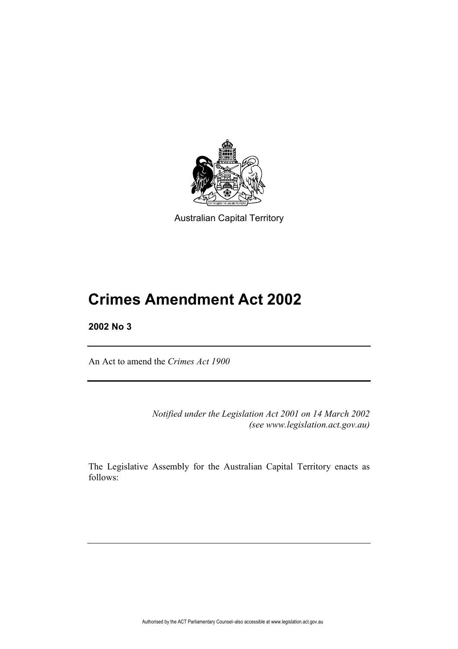

Australian Capital Territory

# **Crimes Amendment Act 2002**

# **2002 No 3**

An Act to amend the *Crimes Act 1900*

*Notified under the Legislation Act 2001 on 14 March 2002 (see www.legislation.act.gov.au)*

The Legislative Assembly for the Australian Capital Territory enacts as follows: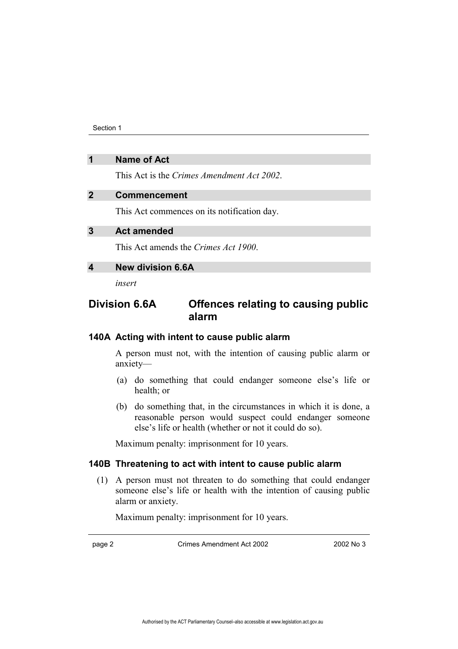Section 1

# **1 Name of Act**

This Act is the *Crimes Amendment Act 2002*.

### **2 Commencement**

This Act commences on its notification day.

# **3 Act amended**

This Act amends the *Crimes Act 1900*.

# **4 New division 6.6A**

*insert*

# **Division 6.6A Offences relating to causing public alarm**

#### **140A Acting with intent to cause public alarm**

A person must not, with the intention of causing public alarm or anxiety-

- (a) do something that could endanger someone else's life or health; or
- (b) do something that, in the circumstances in which it is done, a reasonable person would suspect could endanger someone else's life or health (whether or not it could do so).

Maximum penalty: imprisonment for 10 years.

# **140B Threatening to act with intent to cause public alarm**

(1) A person must not threaten to do something that could endanger someone else's life or health with the intention of causing public alarm or anxiety.

Maximum penalty: imprisonment for 10 years.

page 2 Crimes Amendment Act 2002 2002 2002 No 3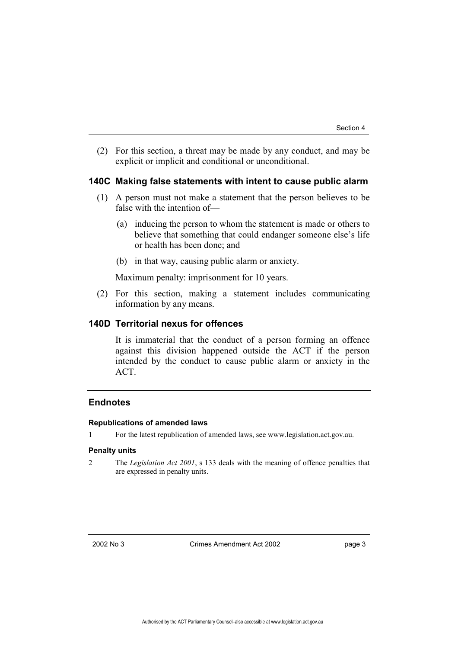(2) For this section, a threat may be made by any conduct, and may be explicit or implicit and conditional or unconditional.

#### **140C Making false statements with intent to cause public alarm**

- (1) A person must not make a statement that the person believes to be false with the intention of $-$ 
	- (a) inducing the person to whom the statement is made or others to believe that something that could endanger someone else's life or health has been done; and
	- (b) in that way, causing public alarm or anxiety.

Maximum penalty: imprisonment for 10 years.

(2) For this section, making a statement includes communicating information by any means.

#### **140D Territorial nexus for offences**

It is immaterial that the conduct of a person forming an offence against this division happened outside the ACT if the person intended by the conduct to cause public alarm or anxiety in the ACT.

## **Endnotes**

#### **Republications of amended laws**

1 For the latest republication of amended laws, see www.legislation.act.gov.au.

#### **Penalty units**

2 The *Legislation Act 2001*, s 133 deals with the meaning of offence penalties that are expressed in penalty units.

2002 No 3 Crimes Amendment Act 2002 page 3